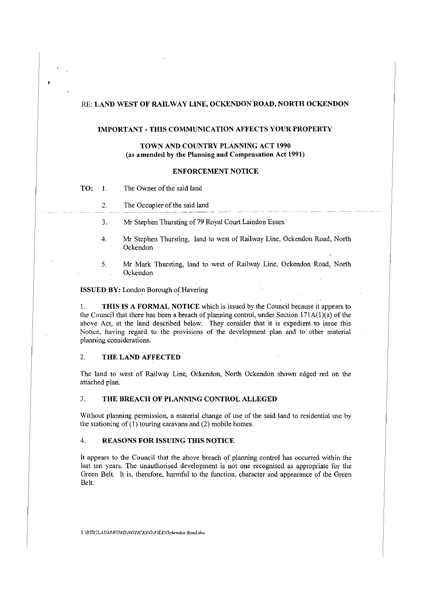### RE: **LAND WEST OF RAILWAY LINE, OCKENDON ROAD, NORTH OCKENDON**

#### **IMPORT ANT - THIS COMMUNICATION AFFECTS YOUR PROPERTY**

# **TOWN AND COUNTRY PLANNING ACT 1990** (as **amended by the Planning and Compensation Act 1991)**

#### **ENFORCEMENT NOTICE**

- **TO:** 1. The Owner of the said land
	- 2. The Occupier of the said land
	- 3. Mr Stephen Thursting of 79 Royal Court Laindon Essex
	- 4. Mr Stephen Thursting, land to west of Railway Line, Ockendon Road, North Ockendon
	- 5. Mr Mark Thursting, land to west of Railway Line, Ockendon Road, North Ockendon

### **ISSUED BY:** London Borough of Havering

1. **THIS IS A FORMAL NOTICE** which is issued by the Council because it appears to the Council that there has been a breach of planning control, under Section  $171A(1)(a)$  of the above Act, at the land described below. They consider that it is expedient to issue this Notice, having regard to the provisions of the development plan and to· other material planning considerations.

### 2. **THE LAND AFFECTED**

The land to west of Railway Line, Ockendon, North Ockendon shown edged red on the attached plan.

### 3. **THE BREACH OF PLANNING CONTROL ALLEGED**

Without planning permission, a material change of use of the said land to residential use by the stationing of (I) touring caravans and (2) mobile homes.

### 4. **REASONS FOR ISSUING THIS NOTICE**

It appears to the Council that the above breach of planning control has occurred within the last ten years. The unauthorised development is not one recognised as appropriate for the Green Belt. It is, therefore, harmful to the function, character and appearance of the Green Belt.

*S:\BSSGLADi\1\WORD\NOTICES\0-FILE\Ockendon Road.doc*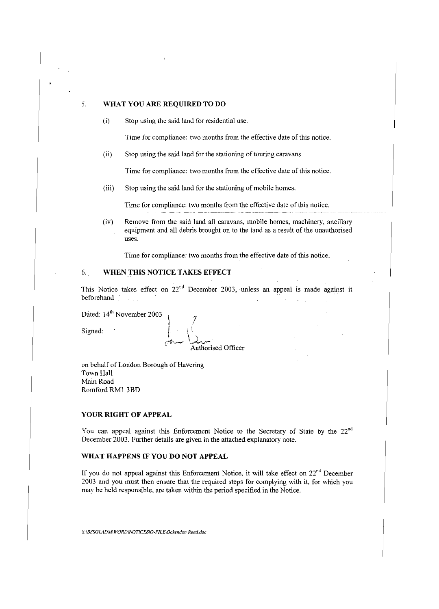# 5. **WHAT YOU ARE REQUIRED TO DO**

(i) Stop using the said land for residential use.

Time for compliance: two months from the effective date of this notice.

(ii) Stop using the said land for the stationing of touring caravans

Time for compliance: two months from the effective date of this notice.

(iii) Stop using the said land for the stationing of mobile homes.

Time for compliance: two months from the effective date of this notice.

(iv) Remove from the said land all caravans, mobile homes, machinery, ancillary equipment and all debris brought on to the land as a result of the unauthorised uses.

Time for compliance: two months from the effective date of this notice.

# 6.. **WHEN THIS NOTICE TAKES EFFECT**

This Notice takes effect on  $22<sup>nd</sup>$  December 2003, unless an appeal is made against it beforehand

Dated: 14<sup>th</sup> November 2003

 $\lim_{n \to \infty} \frac{1}{n}$ Authorised Officer

on behalf of London Borough of Havering Town Hall Main Road Romford RMI 3BD

## **YOUR RIGHT OF APPEAL**

You can appeal against this Enforcement Notice to the Secretary of State by the 22<sup>nd</sup> December 2003. Further details are given in the attached explanatory note.

### **WHAT HAPPENS IF YOU DO NOT APPEAL**

If you do not appeal against this Enforcement Notice, it will take effect on  $22<sup>nd</sup>$  December 2003 and you must then ensure that the required steps for complying with it, for which you may be held responsible, are taken within the period specified in the Notice.

*Sc\BSSGLADM\WORDWOTICES\0-FILE\Ockendon Road.doc*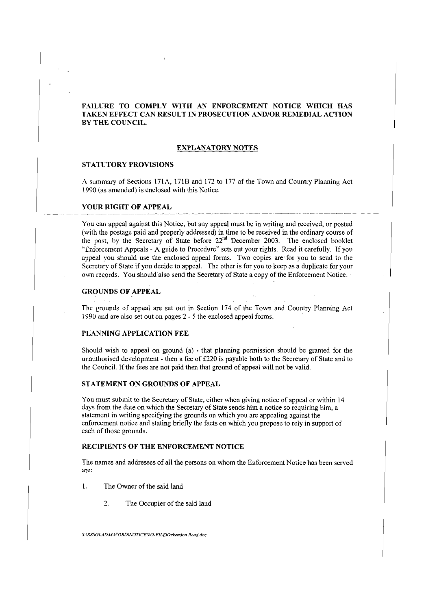## **FAIL URE TO COMPLY WITH AN ENFORCEMENT NOTICE WHICH HAS TAKEN EFFECT CAN RESULT IN PROSECUTION AND/OR REMEDIAL ACTION BY THE COUNCIL.**

### **EXPLANATORY NOTES**

### **STATUTORY PROVISIONS**

A summary of Sections 171 A, 17lB and 172 to 177 of the Town and Country Planning Act 1990 (as amended) is enclosed with this Notice.

#### **YOUR RIGHT OF APPEAL**

You can appeal against this Notice, but any appeal must be in writing and received, or posted (with the postage paid and properly addressed) in time to be received in the ordinary course of the post, by the Secretary of State before 22<sup>nd</sup> December 2003. The enclosed booklet '·Enforcement Appeals - A guide to Procedure" sets out your rights. Read it carefully. If you appeal you should use the enclosed appeal forms. Two copies are for you to send to the Secretary of State if you decide to appeal. The other is for you to keep as a duplicate for your own records. You should also send the Secretary of State a copy of the Enforcement Notice.

### **GROUNDS OF APPEAL**

The grounds of appeal are set out in Section 174 of the Town and Country Planning Act 1990 and are also set out on pages 2 - 5 the enclosed appeal forms.

#### **PLANNING APPLICATION FEE**

Should wish to appeal on ground (a) - that planning permission should be granted for the unauthorised development - then a fee of £220 is payable both to the Secretary of State and to the Council. If the fees are not paid then that ground of appeal will not be valid.

# **STATEMENT ON GROUNDS OF APPEAL**

You must submit to the Secretary of State, either when giving notice of appeal or within 14 days from the date on which the Secretary of State sends him a notice so requiring him, a statement in writing specifying the grounds on which you are appealing against the enforcement notice and stating briefly the facts on which you propose to rely in support of each of those grounds.

# **RECIPIENTS OF THE ENFORCEMENT NOTICE**

The names and addresses of all the persons on whom the Enforcement Notice has been served are:

1. The Owner of the said land

2. The Occupier of the said land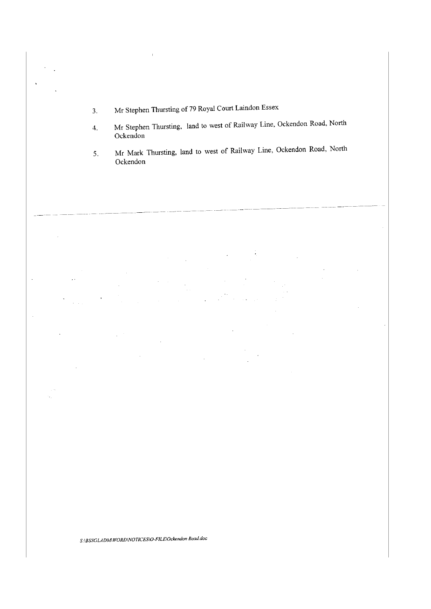- 3. Mr Stephen Thursting of 79 Royal Court Laindon Essex
- 4. Mr Stephen Thursting, land to west of Railway Line, Ockendon Road, North Ockendon
- 5. Mr Mark Thursting, land to west of Railway Line, Ockendon Road, North Ockendon

---- --------- ------·---~-----·-------



 $\bar{a}$ 

 $\ddot{\phantom{a}}$